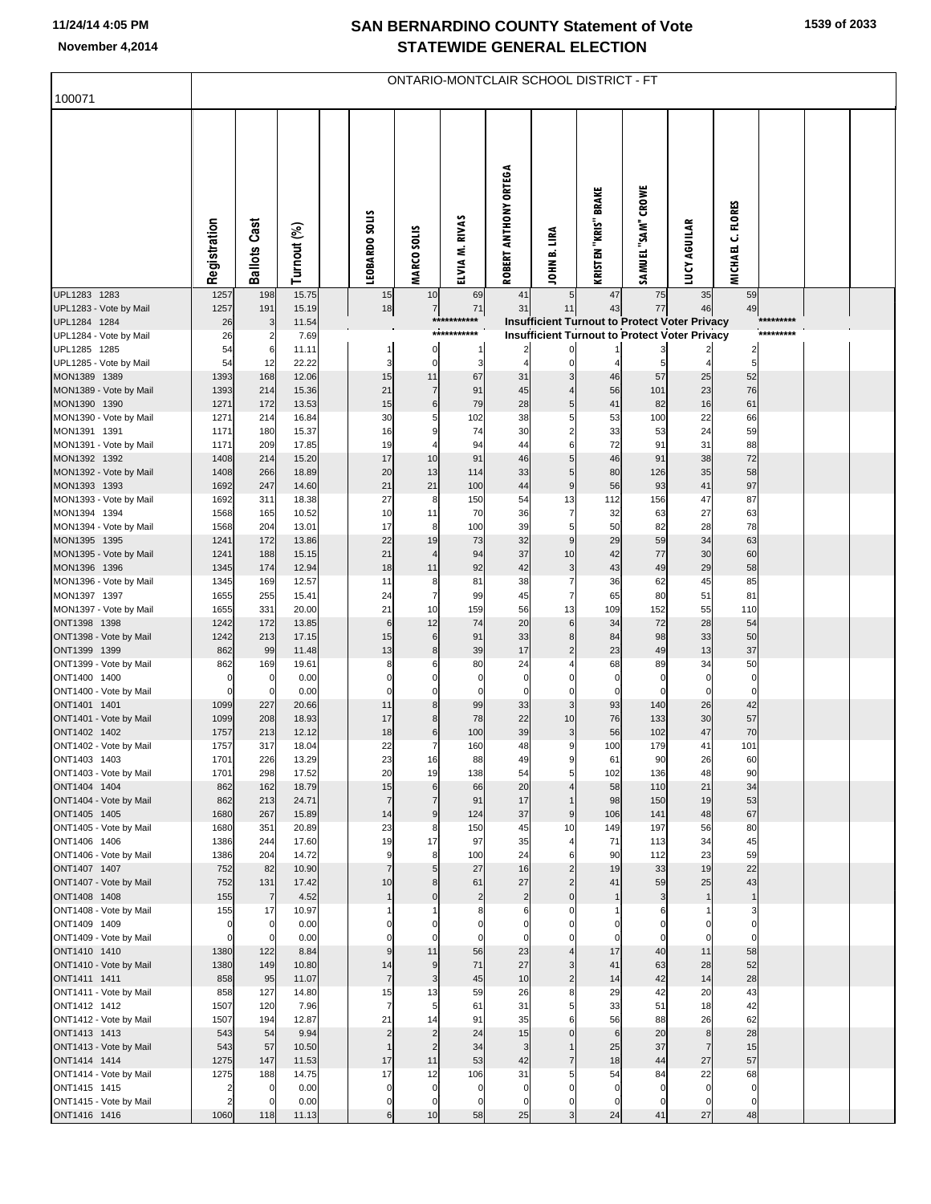## **SAN BERNARDINO COUNTY Statement of Vote November 4,2014 STATEWIDE GENERAL ELECTION**

| 100071                                 | <b>ONTARIO-MONTCLAIR SCHOOL DISTRICT - FT</b> |                      |                |  |                      |                                  |                   |                       |                                  |                                                      |                    |                      |                   |           |  |
|----------------------------------------|-----------------------------------------------|----------------------|----------------|--|----------------------|----------------------------------|-------------------|-----------------------|----------------------------------|------------------------------------------------------|--------------------|----------------------|-------------------|-----------|--|
|                                        |                                               |                      |                |  |                      |                                  |                   |                       |                                  |                                                      |                    |                      |                   |           |  |
|                                        | Registration                                  | <b>Ballots Cast</b>  | Turnout (%)    |  | LEOBARDO SOLIS       | <b>MARCO SOLIS</b>               | ELVIA M. RIVAS    | ROBERT ANTHONY ORTEGA | JOHN B. LIRA                     | <b>KRISTEN "KRIS" BRAKE</b>                          | SAMUEL "SAM" CROWE | <b>LUCY AGUILAR</b>  | MICHAEL C. FLORES |           |  |
| UPL1283 1283<br>UPL1283 - Vote by Mail | 1257<br>1257                                  | 198<br>191           | 15.75<br>15.19 |  | 15<br>18             | 10<br>$\overline{7}$             | 69<br>71          | 41<br>31              | 5<br>11                          | 47<br>43                                             | 75<br>77           | 35<br>46             | 59<br>49          |           |  |
| UPL1284 1284                           | 26                                            | 3                    | 11.54          |  |                      |                                  | ******            |                       |                                  | <b>Insufficient Turnout to Protect Voter Privacy</b> |                    |                      |                   | ********* |  |
| UPL1284 - Vote by Mail<br>UPL1285 1285 | 26<br>54                                      | 2<br>6               | 7.69<br>11.11  |  | 1                    | 0                                | ***********<br>-1 |                       |                                  | <b>Insufficient Turnout to Protect Voter Privacy</b> |                    |                      |                   | ********* |  |
| UPL1285 - Vote by Mail                 | 54                                            | 12                   | 22.22          |  | 3                    | $\mathbf 0$                      | 3                 | $\overline{4}$        |                                  |                                                      | 5                  |                      | 5                 |           |  |
| MON1389 1389<br>MON1389 - Vote by Mail | 1393<br>1393                                  | 168<br>214           | 12.06<br>15.36 |  | 15<br>21             | 11<br>$\overline{7}$             | 67<br>91          | 31<br>45              | 3                                | 46<br>56                                             | 57<br>101          | 25<br>23             | 52<br>76          |           |  |
| MON1390 1390                           | 1271                                          | 172                  | 13.53          |  | 15                   | 6                                | 79                | 28                    | 5                                | 41                                                   | 82                 | 16                   | 61                |           |  |
| MON1390 - Vote by Mail                 | 1271                                          | 214                  | 16.84          |  | 30                   | 5                                | 102               | 38                    | 5                                | 53                                                   | 100                | 22                   | 66                |           |  |
| MON1391 1391<br>MON1391 - Vote by Mail | 1171<br>1171                                  | 180<br>209           | 15.37<br>17.85 |  | 16<br>19             | 9<br>4                           | 74<br>94          | 30<br>44              | $\overline{2}$<br>6              | 33<br>72                                             | 53<br>91           | 24<br>31             | 59<br>88          |           |  |
| MON1392 1392                           | 1408                                          | 214                  | 15.20          |  | 17                   | 10                               | 91                | 46                    | 5                                | 46                                                   | 91                 | 38                   | 72                |           |  |
| MON1392 - Vote by Mail                 | 1408                                          | 266                  | 18.89          |  | 20                   | 13                               | 114               | 33                    | 5                                | 80                                                   | 126                | 35                   | 58                |           |  |
| MON1393 1393<br>MON1393 - Vote by Mail | 1692<br>1692                                  | 247<br>311           | 14.60<br>18.38 |  | 21<br>27             | 21<br>8                          | 100<br>150        | 44<br>54              | 9<br>13                          | 56<br>112                                            | 93<br>156          | 41<br>47             | 97<br>87          |           |  |
| MON1394 1394                           | 1568                                          | 165                  | 10.52          |  | 10                   | 11                               | 70                | 36                    | 7                                | 32                                                   | 63                 | 27                   | 63                |           |  |
| MON1394 - Vote by Mail                 | 1568                                          | 204                  | 13.01          |  | 17                   | 8                                | 100               | 39                    | 5                                | 50                                                   | 82                 | 28                   | 78                |           |  |
| MON1395 1395<br>MON1395 - Vote by Mail | 1241<br>1241                                  | 172<br>188           | 13.86<br>15.15 |  | 22<br>21             | 19<br>$\overline{4}$             | 73<br>94          | 32<br>37              | 9<br>10                          | 29<br>42                                             | 59<br>77           | 34<br>30             | 63<br>60          |           |  |
| MON1396 1396                           | 1345                                          | 174                  | 12.94          |  | 18                   | 11                               | 92                | 42                    | 3                                | 43                                                   | 49                 | 29                   | 58                |           |  |
| MON1396 - Vote by Mail<br>MON1397 1397 | 1345<br>1655                                  | 169<br>255           | 12.57<br>15.41 |  | 11<br>24             | 8<br>$\overline{7}$              | 81<br>99          | 38<br>45              | $\overline{7}$<br>$\overline{7}$ | 36<br>65                                             | 62<br>80           | 45<br>51             | 85<br>81          |           |  |
| MON1397 - Vote by Mail                 | 1655                                          | 331                  | 20.00          |  | 21                   | 10                               | 159               | 56                    | 13                               | 109                                                  | 152                | 55                   | 110               |           |  |
| ONT1398 1398                           | 1242                                          | 172                  | 13.85          |  | 6                    | 12                               | 74                | 20                    | $\,6$                            | 34                                                   | 72                 | 28                   | 54                |           |  |
| ONT1398 - Vote by Mail<br>ONT1399 1399 | 1242<br>862                                   | 213<br>99            | 17.15<br>11.48 |  | 15<br>13             | 6<br>8                           | 91<br>39          | 33<br>17              | 8<br>$\overline{2}$              | 84<br>23                                             | 98<br>49           | 33<br>13             | 50<br>37          |           |  |
| ONT1399 - Vote by Mail                 | 862                                           | 169                  | 19.61          |  | 8                    |                                  | 80                | 24                    |                                  | 68                                                   | 89                 | 34                   | 50                |           |  |
| ONT1400 1400                           | 0                                             | 0                    | 0.00           |  | 0                    | 0                                | 0                 | $\pmb{0}$             |                                  | $\mathbf 0$                                          | 0                  | 0                    | 0                 |           |  |
| ONT1400 - Vote by Mail<br>ONT1401 1401 | $\overline{0}$<br>1099                        | $\mathbf 0$<br>227   | 0.00<br>20.66  |  | $\mathbf 0$<br>11    | $\Omega$<br>8                    | $\mathbf 0$<br>99 | $\mathbf 0$<br>33     | 3                                | $\mathbf 0$<br>93                                    | $\mathbf 0$<br>140 | $\overline{0}$<br>26 | $\mathbf 0$<br>42 |           |  |
| ONT1401 - Vote by Mail                 | 1099                                          | 208                  | 18.93          |  | 17                   | 8                                | 78                | 22                    | 10                               | 76                                                   | 133                | 30                   | 57                |           |  |
| ONT1402 1402                           | 1757                                          | 213                  | 12.12          |  | 18                   | 6                                | 100               | 39                    | 3                                | 56                                                   | 102                | 47                   | 70                |           |  |
| ONT1402 - Vote by Mail<br>ONT1403 1403 | 1757<br>1701                                  | 317<br>226           | 18.04<br>13.29 |  | 22<br>23             | $\overline{7}$<br>16             | 160<br>88         | 48<br>49              | 9<br>9                           | 100<br>61                                            | 179<br>90          | 41<br>26             | 101<br>60         |           |  |
| ONT1403 - Vote by Mail                 | 1701                                          | 298                  | 17.52          |  | 20                   | 19                               | 138               | 54                    | 5                                | 102                                                  | 136                | 48                   | 90                |           |  |
| ONT1404 1404<br>ONT1404 - Vote by Mail | 862<br>862                                    | 162<br>213           | 18.79<br>24.71 |  | 15<br>$\overline{7}$ | $6\phantom{1}$<br>$\overline{7}$ | 66<br>91          | 20<br>17              | $\Delta$<br>$\mathbf{1}$         | 58<br>98                                             | 110<br>150         | 21<br>19             | 34<br>53          |           |  |
| ONT1405 1405                           | 1680                                          | 267                  | 15.89          |  | 14                   | $\overline{9}$                   | 124               | 37                    | 9                                | 106                                                  | 141                | 48                   | 67                |           |  |
| ONT1405 - Vote by Mail                 | 1680                                          | 351                  | 20.89          |  | 23                   | 8                                | 150               | 45                    | 10                               | 149                                                  | 197                | 56                   | 80                |           |  |
| ONT1406 1406<br>ONT1406 - Vote by Mail | 1386<br>1386                                  | 244<br>204           | 17.60<br>14.72 |  | 19<br>9              | 17<br>8                          | 97<br>100         | 35<br>24              | $\overline{4}$<br>6              | 71<br>90                                             | 113<br>112         | 34<br>23             | 45<br>59          |           |  |
| ONT1407 1407                           | 752                                           | 82                   | 10.90          |  | $\overline{7}$       | 5                                | 27                | 16                    | $\overline{2}$                   | 19                                                   | 33                 | 19                   | 22                |           |  |
| ONT1407 - Vote by Mail                 | 752                                           | 131                  | 17.42          |  | 10                   | 8                                | 61                | 27                    | $\overline{2}$                   | 41                                                   | 59                 | 25                   | 43                |           |  |
| ONT1408 1408<br>ONT1408 - Vote by Mail | 155<br>155                                    | $\overline{7}$<br>17 | 4.52<br>10.97  |  | $\mathbf{1}$         | $\mathbf 0$                      | $\overline{c}$    | $\overline{2}$<br>6   | $\mathbf{0}$<br>O                | $\mathbf{1}$                                         | 3<br>6             | 1<br>1               | $\mathbf{1}$<br>3 |           |  |
| ONT1409 1409                           | $\pmb{0}$                                     | 0                    | 0.00           |  |                      | C                                |                   | 0                     |                                  | $\Omega$                                             | 0                  | 0                    | $\mathbf 0$       |           |  |
| ONT1409 - Vote by Mail                 | $\mathbf 0$                                   | $\mathbf 0$          | 0.00           |  | $\Omega$             | $\Omega$                         | $\mathbf 0$       | $\mathbf 0$           |                                  | $\mathbf 0$                                          | $\mathbf 0$        | $\mathbf{0}$         | $\mathbf 0$       |           |  |
| ONT1410 1410<br>ONT1410 - Vote by Mail | 1380<br>1380                                  | 122<br>149           | 8.84<br>10.80  |  | 9<br>14              | 11<br>$\overline{9}$             | 56<br>71          | 23<br>27              | 3                                | 17<br>41                                             | 40<br>63           | 11<br>28             | 58<br>52          |           |  |
| ONT1411 1411                           | 858                                           | 95                   | 11.07          |  | $\overline{7}$       | 3                                | 45                | 10                    | $\mathfrak{p}$                   | 14                                                   | 42                 | 14                   | 28                |           |  |
| ONT1411 - Vote by Mail<br>ONT1412 1412 | 858<br>1507                                   | 127<br>120           | 14.80<br>7.96  |  | 15<br>$\overline{7}$ | 13<br>5                          | 59<br>61          | 26<br>31              | 8<br>5                           | 29<br>33                                             | 42<br>51           | 20<br>18             | 43<br>42          |           |  |
| ONT1412 - Vote by Mail                 | 1507                                          | 194                  | 12.87          |  | 21                   | 14                               | 91                | 35                    | 6                                | 56                                                   | 88                 | 26                   | 62                |           |  |
| ONT1413 1413                           | 543                                           | 54                   | 9.94           |  | $\overline{2}$       | $\overline{2}$                   | 24                | 15                    | $\Omega$                         | 6                                                    | 20                 | $\bf8$               | 28                |           |  |
| ONT1413 - Vote by Mail<br>ONT1414 1414 | 543<br>1275                                   | 57<br>147            | 10.50<br>11.53 |  | $\mathbf{1}$<br>17   | $\overline{2}$<br>11             | 34<br>53          | $\mathbf{3}$<br>42    | $\overline{7}$                   | 25<br>18                                             | 37<br>44           | $\overline{7}$<br>27 | 15<br>57          |           |  |
| ONT1414 - Vote by Mail                 | 1275                                          | 188                  | 14.75          |  | 17                   | 12                               | 106               | 31                    | 5                                | 54                                                   | 84                 | 22                   | 68                |           |  |
| ONT1415 1415                           | $\overline{2}$                                | 0                    | 0.00           |  | $\mathbf 0$          | $\mathbf 0$                      | $\mathbf 0$       | $\overline{0}$        | $\Omega$                         | $\mathbf 0$                                          | $\mathbf 0$        | $\overline{0}$       | $\mathbf 0$       |           |  |
| ONT1415 - Vote by Mail<br>ONT1416 1416 | $\overline{2}$<br>1060                        | $\Omega$<br>118      | 0.00<br>11.13  |  | $\mathbf 0$<br>6     | $\mathbf 0$<br>10                | $\mathbf 0$<br>58 | $\mathbf 0$<br>25     | $\Omega$<br>3                    | $\mathbf 0$<br>24                                    | $\mathbf 0$<br>41  | 0<br>27              | $\mathbf 0$<br>48 |           |  |
|                                        |                                               |                      |                |  |                      |                                  |                   |                       |                                  |                                                      |                    |                      |                   |           |  |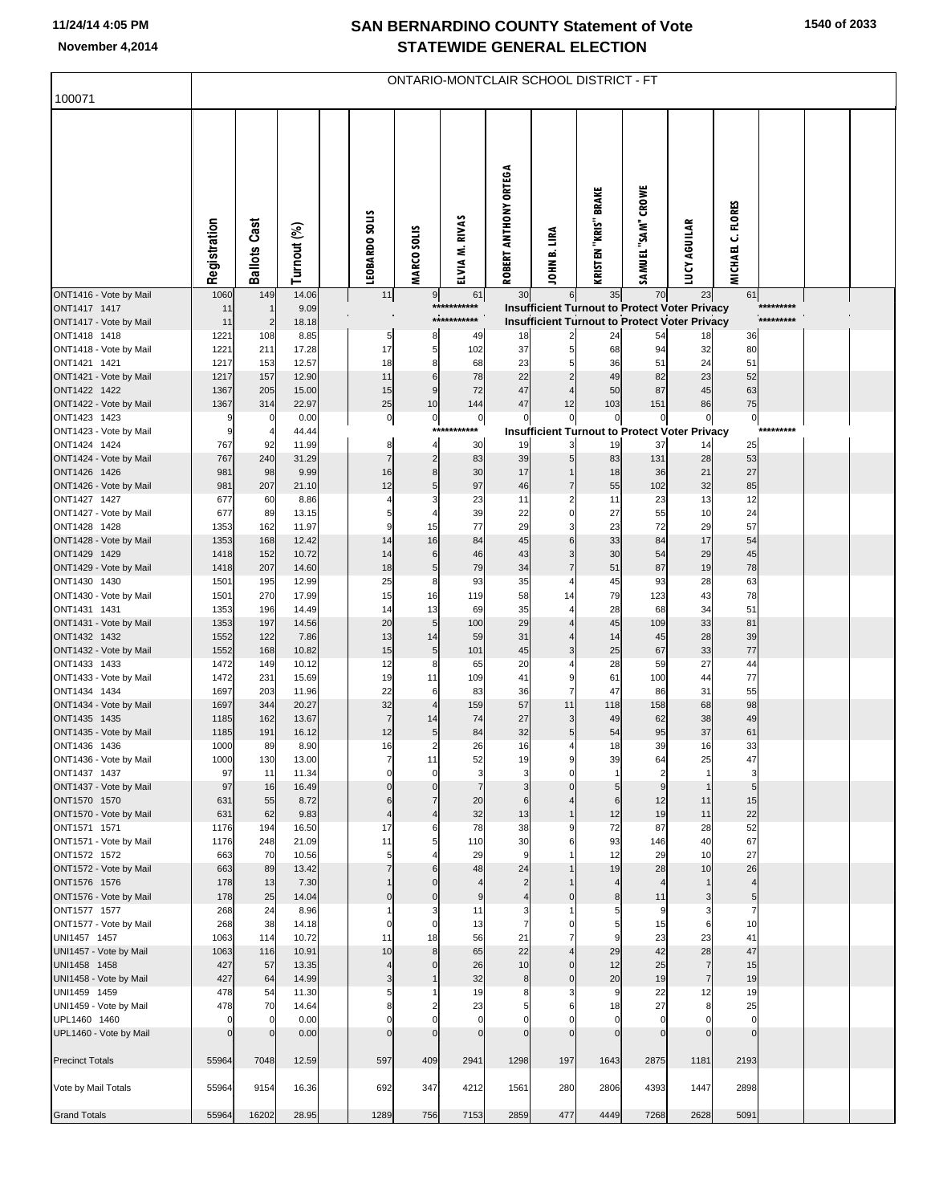## **SAN BERNARDINO COUNTY Statement of Vote November 4,2014 STATEWIDE GENERAL ELECTION**

| 100071                                 | ONTARIO-MONTCLAIR SCHOOL DISTRICT - FT |                         |                |  |                      |                                 |                               |                         |                              |                             |                            |                                                                                                       |                          |                        |  |
|----------------------------------------|----------------------------------------|-------------------------|----------------|--|----------------------|---------------------------------|-------------------------------|-------------------------|------------------------------|-----------------------------|----------------------------|-------------------------------------------------------------------------------------------------------|--------------------------|------------------------|--|
|                                        |                                        |                         |                |  |                      |                                 |                               |                         |                              |                             |                            |                                                                                                       |                          |                        |  |
|                                        | Registration                           | <b>Ballots Cast</b>     | Turnout (%)    |  | LEOBARDO SOLIS       | <b>MARCO SOLIS</b>              | ELVIA M. RIVAS                | ROBERT ANTHONY ORTEGA   | JOHN B. LIRA                 | <b>KRISTEN "KRIS" BRAKE</b> | SAMUEL "SAM" CROWE         | <b>LUCY AGUILAR</b>                                                                                   | MICHAEL C. FLORES        |                        |  |
| ONT1416 - Vote by Mail                 | 1060                                   | 149                     | 14.06          |  | 11                   | 9                               | 61                            | 30                      | 6                            | 35                          | 70                         | 23                                                                                                    | 61                       |                        |  |
| ONT1417 1417<br>ONT1417 - Vote by Mail | 11<br>11                               | $\overline{2}$          | 9.09<br>18.18  |  |                      |                                 | ***********<br>***********    |                         |                              |                             |                            | Insufficient Turnout to Protect Voter Privacy<br><b>Insufficient Turnout to Protect Voter Privacy</b> |                          | *********<br>********* |  |
| ONT1418 1418                           | 1221                                   | 108                     | 8.85           |  | 5                    | 8                               | 49                            | 18                      |                              | 24                          | 54                         | 18                                                                                                    | 36                       |                        |  |
| ONT1418 - Vote by Mail                 | 1221                                   | 211                     | 17.28          |  | 17                   | 5                               | 102                           | 37                      | 5                            | 68                          | 94                         | 32                                                                                                    | 80                       |                        |  |
| ONT1421 1421<br>ONT1421 - Vote by Mail | 1217<br>1217                           | 153<br>157              | 12.57<br>12.90 |  | 18<br>11             | 8<br>6                          | 68<br>78                      | 23<br>22                |                              | 36<br>49                    | 51<br>82                   | 24<br>23                                                                                              | 51<br>52                 |                        |  |
| ONT1422 1422                           | 1367                                   | 205                     | 15.00          |  | 15                   | 9                               | 72                            | 47                      |                              | 50                          | 87                         | 45                                                                                                    | 63                       |                        |  |
| ONT1422 - Vote by Mail                 | 1367                                   | 314                     | 22.97          |  | 25                   | 10                              | 144                           | 47                      | 12                           | 103                         | 151                        | 86                                                                                                    | 75                       |                        |  |
| ONT1423 1423<br>ONT1423 - Vote by Mail | 9<br>9                                 | 0<br>4                  | 0.00<br>44.44  |  | $\overline{0}$       | $\pmb{0}$<br>$***$              | $\pmb{0}$                     | $\Omega$                | $\Omega$                     | $\mathbf 0$                 | $\Omega$                   | $\pmb{0}$<br><b>Insufficient Turnout to Protect Voter Privacy</b>                                     | $\overline{0}$           |                        |  |
| ONT1424 1424                           | 767                                    | 92                      | 11.99          |  | 8                    | 4                               | 30                            | 19                      | 3                            | 19                          | 37                         | 14                                                                                                    | 25                       |                        |  |
| ONT1424 - Vote by Mail                 | 767                                    | 240                     | 31.29          |  | $\overline{7}$       | $\overline{2}$                  | 83                            | 39                      | 5                            | 83                          | 131                        | 28                                                                                                    | 53                       |                        |  |
| ONT1426 1426                           | 981                                    | 98                      | 9.99           |  | 16                   | 8                               | 30                            | 17                      |                              | 18                          | 36                         | 21                                                                                                    | 27                       |                        |  |
| ONT1426 - Vote by Mail<br>ONT1427 1427 | 981<br>677                             | 207<br>60               | 21.10<br>8.86  |  | 12<br>4              | 5<br>Э                          | 97<br>23                      | 46<br>11                |                              | 55<br>11                    | 102<br>23                  | 32<br>13                                                                                              | 85<br>12                 |                        |  |
| ONT1427 - Vote by Mail                 | 677                                    | 89                      | 13.15          |  | 5                    | 4                               | 39                            | 22                      | 0                            | 27                          | 55                         | 10                                                                                                    | 24                       |                        |  |
| ONT1428 1428                           | 1353                                   | 162                     | 11.97          |  | 9                    | 15                              | 77                            | 29                      | 3                            | 23                          | 72                         | 29                                                                                                    | 57                       |                        |  |
| ONT1428 - Vote by Mail<br>ONT1429 1429 | 1353<br>1418                           | 168<br>152              | 12.42<br>10.72 |  | 14<br>14             | 16<br>6                         | 84<br>46                      | 45<br>43                | 6<br>3                       | 33<br>30                    | 84<br>54                   | 17<br>29                                                                                              | 54<br>45                 |                        |  |
| ONT1429 - Vote by Mail                 | 1418                                   | 207                     | 14.60          |  | 18                   | 5                               | 79                            | 34                      |                              | 51                          | 87                         | 19                                                                                                    | 78                       |                        |  |
| ONT1430 1430                           | 1501                                   | 195                     | 12.99          |  | 25                   | 8                               | 93                            | 35                      | 4                            | 45                          | 93                         | 28                                                                                                    | 63                       |                        |  |
| ONT1430 - Vote by Mail                 | 1501                                   | 270                     | 17.99          |  | 15                   | 16                              | 119                           | 58                      | 14                           | 79<br>28                    | 123                        | 43<br>34                                                                                              | 78<br>51                 |                        |  |
| ONT1431 1431<br>ONT1431 - Vote by Mail | 1353<br>1353                           | 196<br>197              | 14.49<br>14.56 |  | 14<br>20             | 13<br>5                         | 69<br>100                     | 35<br>29                | 4<br>$\overline{4}$          | 45                          | 68<br>109                  | 33                                                                                                    | 81                       |                        |  |
| ONT1432 1432                           | 1552                                   | 122                     | 7.86           |  | 13                   | 14                              | 59                            | 31                      |                              | 14                          | 45                         | 28                                                                                                    | 39                       |                        |  |
| ONT1432 - Vote by Mail                 | 1552                                   | 168                     | 10.82          |  | 15                   | $\sqrt{5}$                      | 101                           | 45                      | 3                            | 25                          | 67                         | 33                                                                                                    | 77                       |                        |  |
| ONT1433 1433<br>ONT1433 - Vote by Mail | 1472<br>1472                           | 149<br>231              | 10.12<br>15.69 |  | 12<br>19             | 8<br>11                         | 65<br>109                     | 20<br>41                | 9                            | 28<br>61                    | 59<br>100                  | 27<br>44                                                                                              | 44<br>77                 |                        |  |
| ONT1434 1434                           | 1697                                   | 203                     | 11.96          |  | 22                   | 6                               | 83                            | 36                      | $\overline{7}$               | 47                          | 86                         | 31                                                                                                    | 55                       |                        |  |
| ONT1434 - Vote by Mail                 | 1697                                   | 344                     | 20.27          |  | 32                   | $\overline{4}$                  | 159                           | 57                      | 11                           | 118                         | 158                        | 68                                                                                                    | 98                       |                        |  |
| ONT1435 1435                           | 1185                                   | 162                     | 13.67          |  | $\overline{7}$       | 14                              | 74                            | 27                      | 3<br>5                       | 49                          | 62                         | 38                                                                                                    | 49                       |                        |  |
| ONT1435 - Vote by Mail<br>ONT1436 1436 | 1185<br>1000                           | 191<br>89               | 16.12<br>8.90  |  | 12<br>16             | 5<br>$\overline{2}$             | 84<br>26                      | 32<br>16                | 4                            | 54<br>18                    | 95<br>39                   | 37<br>16                                                                                              | 61<br>33                 |                        |  |
| ONT1436 - Vote by Mail                 | 1000                                   | 130                     | 13.00          |  | 7                    | 11                              | 52                            | 19                      | 9                            | 39                          | 64                         | 25                                                                                                    | 47                       |                        |  |
| ONT1437 1437                           | 97                                     | 11                      | 11.34          |  | $\Omega$             | $\mathbf 0$                     | 3                             | 3                       | $\Omega$                     | $\mathbf{1}$                | $\overline{2}$             | 1                                                                                                     | 3                        |                        |  |
| ONT1437 - Vote by Mail<br>ONT1570 1570 | 97<br>631                              | 16<br>55                | 16.49<br>8.72  |  | 6                    | $\mathcal{C}$<br>$\overline{7}$ | 20                            | 3<br>6                  |                              | 5<br>6                      | 9<br>12                    | $\mathbf{1}$<br>11                                                                                    | 5<br>15                  |                        |  |
| ONT1570 - Vote by Mail                 | 631                                    | 62                      | 9.83           |  | $\overline{4}$       | $\overline{4}$                  | 32                            | 13                      |                              | 12                          | 19                         | 11                                                                                                    | 22                       |                        |  |
| ONT1571 1571                           | 1176                                   | 194                     | 16.50          |  | 17                   | 6                               | 78                            | 38                      | 9                            | 72                          | 87                         | 28                                                                                                    | 52                       |                        |  |
| ONT1571 - Vote by Mail<br>ONT1572 1572 | 1176<br>663                            | 248<br>70               | 21.09<br>10.56 |  | 11<br>5              | 5<br>4                          | 110<br>29                     | 30<br>9                 | 6                            | 93<br>12                    | 146<br>29                  | 40<br>10                                                                                              | 67<br>27                 |                        |  |
| ONT1572 - Vote by Mail                 | 663                                    | 89                      | 13.42          |  |                      | 6                               | 48                            | 24                      |                              | 19                          | 28                         | 10                                                                                                    | 26                       |                        |  |
| ONT1576 1576                           | 178                                    | 13                      | 7.30           |  |                      | C                               | $\overline{4}$                | $\overline{2}$          |                              | $\overline{4}$              | $\overline{4}$             | $\mathbf{1}$                                                                                          | $\overline{4}$           |                        |  |
| ONT1576 - Vote by Mail<br>ONT1577 1577 | 178<br>268                             | 25<br>24                | 14.04<br>8.96  |  | $\Omega$             | $\mathsf{C}$<br>3               | 9<br>11                       | $\overline{4}$<br>3     |                              | 8<br>5                      | 11<br>9                    | $\overline{3}$<br>$\overline{\mathbf{3}}$                                                             | 5<br>$\overline{7}$      |                        |  |
| ONT1577 - Vote by Mail                 | 268                                    | 38                      | 14.18          |  | $\Omega$             | $\mathbf 0$                     | 13                            | 7                       |                              | 5                           | 15                         | 6                                                                                                     | 10                       |                        |  |
| UNI1457 1457                           | 1063                                   | 114                     | 10.72          |  | 11                   | 18                              | 56                            | 21                      |                              | 9                           | 23                         | 23                                                                                                    | 41                       |                        |  |
| UNI1457 - Vote by Mail                 | 1063                                   | 116                     | 10.91          |  | 10                   | 8                               | 65                            | 22                      |                              | 29                          | 42                         | 28                                                                                                    | 47                       |                        |  |
| UNI1458 1458<br>UNI1458 - Vote by Mail | 427<br>427                             | 57<br>64                | 13.35<br>14.99 |  | $\overline{4}$<br>3  | $\mathcal{C}$                   | 26<br>32                      | 10<br>8                 | $\mathbf{0}$<br>$\mathbf{0}$ | 12<br>20                    | 25<br>19                   | 7<br>$\overline{7}$                                                                                   | 15<br>19                 |                        |  |
| UNI1459 1459                           | 478                                    | 54                      | 11.30          |  | 5                    |                                 | 19                            | 8                       | 3                            | 9                           | 22                         | 12                                                                                                    | 19                       |                        |  |
| UNI1459 - Vote by Mail                 | 478                                    | 70                      | 14.64          |  | 8                    | $\overline{2}$                  | 23                            | 5                       | 6                            | 18                          | 27                         | 8                                                                                                     | 25                       |                        |  |
| UPL1460 1460<br>UPL1460 - Vote by Mail | $\mathbf 0$<br>$\mathbf 0$             | $\Omega$<br>$\mathbf 0$ | 0.00<br>0.00   |  | $\Omega$<br>$\Omega$ | $\mathsf{C}$<br>$\sqrt{ }$      | $\overline{0}$<br>$\mathbf 0$ | $\Omega$<br>$\mathbf 0$ | $\Omega$                     | $\mathbf 0$<br>$\mathbf 0$  | $\mathbf 0$<br>$\mathbf 0$ | 0<br>$\mathbf 0$                                                                                      | $\mathbf 0$<br>$\pmb{0}$ |                        |  |
|                                        |                                        |                         |                |  |                      |                                 |                               |                         |                              |                             |                            |                                                                                                       |                          |                        |  |
| <b>Precinct Totals</b>                 | 55964                                  | 7048                    | 12.59          |  | 597                  | 409                             | 2941                          | 1298                    | 197                          | 1643                        | 2875                       | 1181                                                                                                  | 2193                     |                        |  |
| Vote by Mail Totals                    | 55964                                  | 9154                    | 16.36          |  | 692                  | 347                             | 4212                          | 1561                    | 280                          | 2806                        | 4393                       | 1447                                                                                                  | 2898                     |                        |  |
| <b>Grand Totals</b>                    | 55964                                  | 16202                   | 28.95          |  | 1289                 | 756                             | 7153                          | 2859                    | 477                          | 4449                        | 7268                       | 2628                                                                                                  | 5091                     |                        |  |